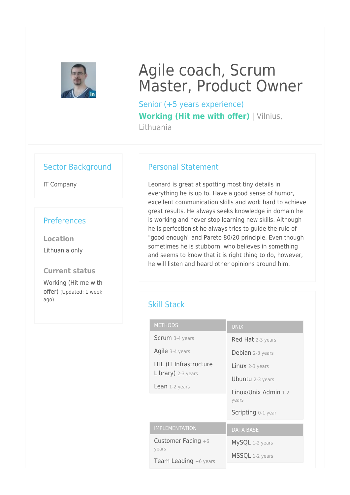

# Agile coach, Scrum Master, Product Owner

Senior (+5 years experience) **Working (Hit me with offer)** | Vilnius, Lithuania

#### Sector Background

IT Company

#### **Preferences**

**Location** Lithuania only

**Current status** Working (Hit me with offer) (Updated: 1 week ago)

#### Personal Statement

Leonard is great at spotting most tiny details in everything he is up to. Have a good sense of humor, excellent communication skills and work hard to achieve great results. He always seeks knowledge in domain he is working and never stop learning new skills. Although he is perfectionist he always tries to guide the rule of "good enough" and Pareto 80/20 principle. Even though sometimes he is stubborn, who believes in something and seems to know that it is right thing to do, however, he will listen and heard other opinions around him.

### Skill Stack

| <b>METHODS</b>                 | <b>UNIX</b>             |
|--------------------------------|-------------------------|
| <b>Scrum</b> 3-4 years         | Red Hat 2-3 years       |
| Agile 3-4 years                | Debian 2-3 years        |
| <b>ITIL (IT Infrastructure</b> | Linux 2-3 years         |
| Library) 2-3 years             | <b>Ubuntu</b> 2-3 years |
| Lean 1-2 years                 | Linux/Unix Admin 1-2    |
|                                | years                   |
|                                | Scripting 0-1 year      |
| <b>IMPLEMENTATION</b>          | <b>DATA BASE</b>        |
| Customer Facing $+6$<br>years  | MySQL 1-2 years         |
| Team Leading +6 years          | MSSQL 1-2 years         |
|                                |                         |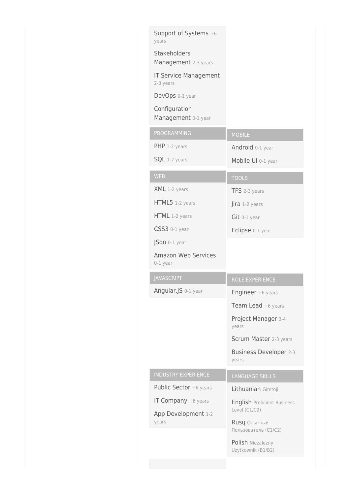| Support of Systems +6<br>years            |                                                     |
|-------------------------------------------|-----------------------------------------------------|
| Stakeholders<br>Management 2-3 years      |                                                     |
| <b>IT Service Management</b><br>2-3 years |                                                     |
| DevOps 0-1 year                           |                                                     |
| Configuration<br>Management 0-1 year      |                                                     |
| PROGRAMMING                               | <b>MOBILE</b>                                       |
| PHP 1-2 years                             | Android 0-1 year                                    |
| SQL 1-2 years                             | Mobile UI 0-1 year                                  |
| <b>WEB</b>                                | <b>TOOLS</b>                                        |
| XML 1-2 years                             | TFS 2-3 years                                       |
| HTML5 1-2 years                           | Jira 1-2 years                                      |
| HTML 1-2 years                            | $Git$ 0-1 year                                      |
| CSS3 0-1 year                             | Eclipse 0-1 year                                    |
| JSon 0-1 year                             |                                                     |
| <b>Amazon Web Services</b>                |                                                     |
| 0-1 year                                  |                                                     |
| <b>JAVASCRIPT</b>                         | ROLE EXPERIENCE                                     |
| Angular.JS 0-1 year                       | Engineer +6 years                                   |
|                                           | Team Lead +6 years                                  |
|                                           | Project Manager 3-4<br>years                        |
|                                           | Scrum Master 2-3 years                              |
|                                           | Business Developer 2-3<br>years                     |
| <b>INDUSTRY EXPERIENCE</b>                | <b>LANGUAGE SKILLS</b>                              |
| Public Sector +6 years                    | Lithuanian Gimtoji                                  |
| <b>IT Company</b> +6 years                | <b>English Proficient Business</b><br>Level (C1/C2) |
| App Development 1-2<br>years              | Rusų Опытный<br>Пользователь (С1/С2)                |
|                                           | Polish Niezależny<br>Użytkownik (B1/B2)             |